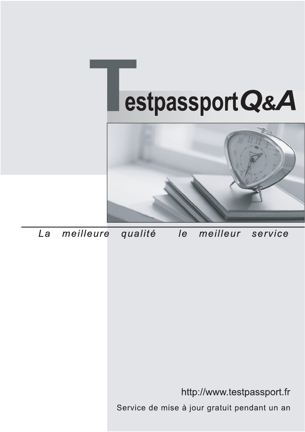



meilleure La qualité  $\overline{e}$ meilleur service

http://www.testpassport.fr

Service de mise à jour gratuit pendant un an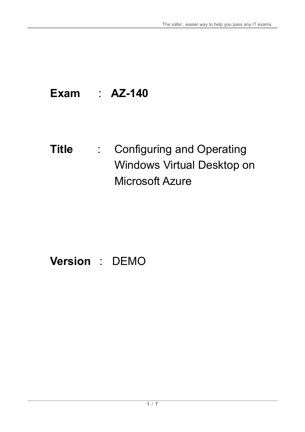# **Exam** : **AZ-140**

# **Title** : Configuring and Operating Windows Virtual Desktop on Microsoft Azure

# **Version** : DEMO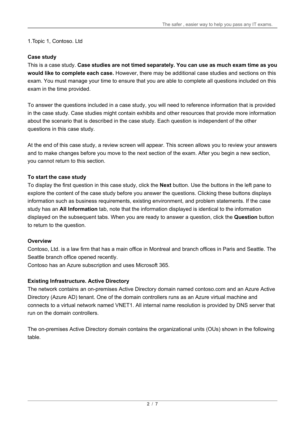1.Topic 1, Contoso. Ltd

# **Case study**

This is a case study. **Case studies are not timed separately. You can use as much exam time as you would like to complete each case.** However, there may be additional case studies and sections on this exam. You must manage your time to ensure that you are able to complete all questions included on this exam in the time provided.

To answer the questions included in a case study, you will need to reference information that is provided in the case study. Case studies might contain exhibits and other resources that provide more information about the scenario that is described in the case study. Each question is independent of the other questions in this case study.

At the end of this case study, a review screen will appear. This screen allows you to review your answers and to make changes before you move to the next section of the exam. After you begin a new section, you cannot return to this section.

# **To start the case study**

To display the first question in this case study, click the **Next** button. Use the buttons in the left pane to explore the content of the case study before you answer the questions. Clicking these buttons displays information such as business requirements, existing environment, and problem statements. If the case study has an **All Information** tab, note that the information displayed is identical to the information displayed on the subsequent tabs. When you are ready to answer a question, click the **Question** button to return to the question.

# **Overview**

Contoso, Ltd. is a law firm that has a main office in Montreal and branch offices in Paris and Seattle. The Seattle branch office opened recently.

Contoso has an Azure subscription and uses Microsoft 365.

# **Existing Infrastructure. Active Directory**

The network contains an on-premises Active Directory domain named contoso.com and an Azure Active Directory (Azure AD) tenant. One of the domain controllers runs as an Azure virtual machine and connects to a virtual network named VNET1. All internal name resolution is provided by DNS server that run on the domain controllers.

The on-premises Active Directory domain contains the organizational units (OUs) shown in the following table.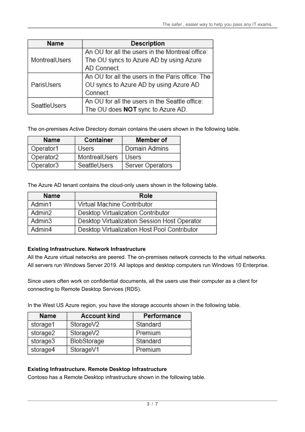| Name          | <b>Description</b>                               |
|---------------|--------------------------------------------------|
|               | An OU for all the users in the Montreal office:  |
| MontrealUsers | The OU syncs to Azure AD by using Azure          |
|               | AD Connect.                                      |
|               | An OU for all the users in the Paris office: The |
| ParisUsers    | OU syncs to Azure AD by using Azure AD           |
|               | Connect.                                         |
| SeattleUsers  | An OU for all the users in the Seattle office:   |
|               | The OU does NOT sync to Azure AD.                |

The on-premises Active Directory domain contains the users shown in the following table.

| Name                  | Container                        | Member of     |
|-----------------------|----------------------------------|---------------|
| Operator1             | <b>Users</b>                     | Domain Admins |
| Operator <sub>2</sub> | MontrealUsers<br><b>Users</b>    |               |
| Operator3             | Server Operators<br>SeattleUsers |               |

The Azure AD tenant contains the cloud-only users shown in the following table.

| Name               | Role                                         |  |
|--------------------|----------------------------------------------|--|
| Admin1             | Virtual Machine Contributor                  |  |
| Admin <sub>2</sub> | Desktop Virtualization Contributor           |  |
| Admin <sub>3</sub> | Desktop Virtualization Session Host Operator |  |
| Admin4             | Desktop Virtualization Host Pool Contributor |  |

#### **Existing Infrastructure. Network Infrastructure**

All the Azure virtual networks are peered. The on-premises network connects to the virtual networks. All servers run Windows Server 2019. All laptops and desktop computers run Windows 10 Enterprise.

Since users often work on confidential documents, all the users use their computer as a client for connecting to Remote Desktop Services (RDS).

In the West US Azure region, you have the storage accounts shown in the following table.

| Name                    | <b>Account kind</b> | Performance |  |
|-------------------------|---------------------|-------------|--|
| storage1<br>StorageV2   |                     | Standard    |  |
| storage2                | StorageV2           | Premium     |  |
| storage3<br>BlobStorage |                     | Standard    |  |
| storage4<br>StorageV1   |                     | Premium     |  |

#### **Existing Infrastructure. Remote Desktop Infrastructure**

Contoso has a Remote Desktop infrastructure shown in the following table.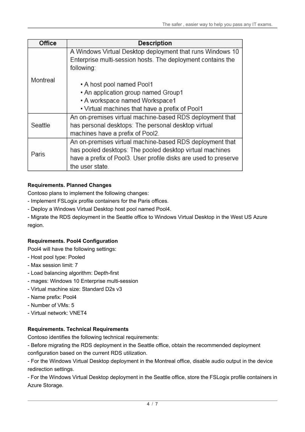| Office   | <b>Description</b>                                                                                                                                                                                         |  |
|----------|------------------------------------------------------------------------------------------------------------------------------------------------------------------------------------------------------------|--|
|          | A Windows Virtual Desktop deployment that runs Windows 10<br>Enterprise multi-session hosts. The deployment contains the<br>following:                                                                     |  |
| Montreal | • A host pool named Pool1                                                                                                                                                                                  |  |
|          | • An application group named Group1                                                                                                                                                                        |  |
|          | • A workspace named Workspace1                                                                                                                                                                             |  |
|          | • Virtual machines that have a prefix of Pool1                                                                                                                                                             |  |
| Seattle  | An on-premises virtual machine-based RDS deployment that<br>has personal desktops: The personal desktop virtual<br>machines have a prefix of Pool2.                                                        |  |
| Paris    | An on-premises virtual machine-based RDS deployment that<br>has pooled desktops: The pooled desktop virtual machines<br>have a prefix of Pool3. User profile disks are used to preserve<br>the user state. |  |

# **Requirements. Planned Changes**

Contoso plans to implement the following changes:

- Implement FSLogix profile containers for the Paris offices.
- Deploy a Windows Virtual Desktop host pool named Pool4.
- Migrate the RDS deployment in the Seattle office to Windows Virtual Desktop in the West US Azure region.

# **Requirements. Pool4 Configuration**

Pool4 will have the following settings:

- Host pool type: Pooled
- Max session limit: 7
- Load balancing algorithm: Depth-first
- mages: Windows 10 Enterprise multi-session
- Virtual machine size: Standard D2s v3
- Name prefix: Pool4
- Number of VMs: 5
- Virtual network: VNET4

# **Requirements. Technical Requirements**

Contoso identifies the following technical requirements:

- Before migrating the RDS deployment in the Seattle office, obtain the recommended deployment configuration based on the current RDS utilization.

- For the Windows Virtual Desktop deployment in the Montreal office, disable audio output in the device redirection settings.

- For the Windows Virtual Desktop deployment in the Seattle office, store the FSLogix profile containers in Azure Storage.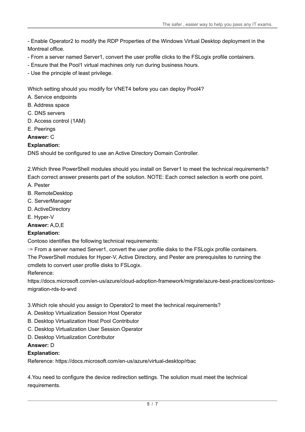- Enable Operator2 to modify the RDP Properties of the Windows Virtual Desktop deployment in the Montreal office.

- From a server named Server1, convert the user profile clicks to the FSLogix profile containers.
- Ensure that the Pool1 virtual machines only run during business hours.
- Use the principle of least privilege.

Which setting should you modify for VNET4 before you can deploy Pool4?

- A. Service endpoints
- B. Address space
- C. DNS servers
- D. Access control (1AM)
- E. Peerings

#### **Answer:** C

### **Explanation:**

DNS should be configured to use an Active Directory Domain Controller.

2.Which three PowerShell modules should you install on Server1 to meet the technical requirements? Each correct answer presents part of the solution. NOTE: Each correct selection is worth one point.

- A. Pester
- B. RemoteDesktop
- C. ServerManager
- D. ActiveDirectory
- E. Hyper-V

**Answer:** A,D,E

#### **Explanation:**

Contoso identifies the following technical requirements:

✑ From a server named Server1, convert the user profile disks to the FSLogix profile containers. The PowerShell modules for Hyper-V, Active Directory, and Pester are prerequisites to running the cmdlets to convert user profile disks to FSLogix.

Reference:

https://docs.microsoft.com/en-us/azure/cloud-adoption-framework/migrate/azure-best-practices/contosomigration-rds-to-wvd

- 3.Which role should you assign to Operator2 to meet the technical requirements?
- A. Desktop Virtualization Session Host Operator
- B. Desktop Virtualization Host Pool Contributor
- C. Desktop Virtualization User Session Operator
- D. Desktop Virtualization Contributor

#### **Answer:** D

#### **Explanation:**

Reference: https://docs.microsoft.com/en-us/azure/virtual-desktop/rbac

4.You need to configure the device redirection settings. The solution must meet the technical requirements.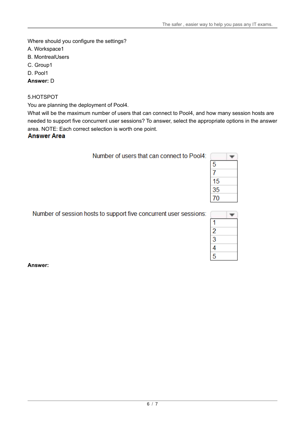Where should you configure the settings?

- A. Workspace1
- B. MontrealUsers
- C. Group1
- D. Pool1

**Answer:** D

#### 5.HOTSPOT

You are planning the deployment of Pool4.

What will be the maximum number of users that can connect to Pool4, and how many session hosts are needed to support five concurrent user sessions? To answer, select the appropriate options in the answer area. NOTE: Each correct selection is worth one point.

#### **Answer Area**

|  |  |  | Number of users that can connect to Pool4: |  |
|--|--|--|--------------------------------------------|--|
|--|--|--|--------------------------------------------|--|

| 5  |  |
|----|--|
|    |  |
| 15 |  |
| 35 |  |
| N  |  |

Number of session hosts to support five concurrent user sessions:

| ٦ |  |
|---|--|

**Answer:**